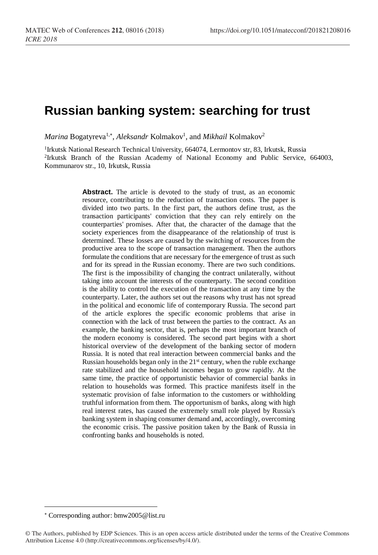## **Russian banking system: searching for trust**

 $\emph{Marina Bogatyreva<sup>1,*</sup>, *Aleksandr* **Kol**makov<sup>1</sup>, and *Mikhail* **Kol**makov<sup>2</sup>$ 

<sup>1</sup>Irkutsk National Research Technical University, 664074, Lermontov str, 83, Irkutsk, Russia 2 Irkutsk Branch of the Russian Academy of National Economy and Public Service, 664003, Kommunarov str., 10, Irkutsk, Russia

> Abstract. The article is devoted to the study of trust, as an economic resource, contributing to the reduction of transaction costs. The paper is divided into two parts. In the first part, the authors define trust, as the transaction participants' conviction that they can rely entirely on the counterparties' promises. After that, the character of the damage that the society experiences from the disappearance of the relationship of trust is determined. These losses are caused by the switching of resources from the productive area to the scope of transaction management. Then the authors formulate the conditions that are necessary for the emergence of trust as such and for its spread in the Russian economy. There are two such conditions. The first is the impossibility of changing the contract unilaterally, without taking into account the interests of the counterparty. The second condition is the ability to control the execution of the transaction at any time by the counterparty. Later, the authors set out the reasons why trust has not spread in the political and economic life of contemporary Russia. The second part of the article explores the specific economic problems that arise in connection with the lack of trust between the parties to the contract. As an example, the banking sector, that is, perhaps the most important branch of the modern economy is considered. The second part begins with a short historical overview of the development of the banking sector of modern Russia. It is noted that real interaction between commercial banks and the Russian households began only in the  $21<sup>st</sup>$  century, when the ruble exchange rate stabilized and the household incomes began to grow rapidly. At the same time, the practice of opportunistic behavior of commercial banks in relation to households was formed. This practice manifests itself in the systematic provision of false information to the customers or withholding truthful information from them. The opportunism of banks, along with high real interest rates, has caused the extremely small role played by Russia's banking system in shaping consumer demand and, accordingly, overcoming the economic crisis. The passive position taken by the Bank of Russia in confronting banks and households is noted.

 $\overline{\phantom{a}}$ 

Corresponding author: bmw2005@list.ru

<sup>©</sup> The Authors, published by EDP Sciences. This is an open access article distributed under the terms of the Creative Commons Attribution License 4.0 (http://creativecommons.org/licenses/by/4.0/).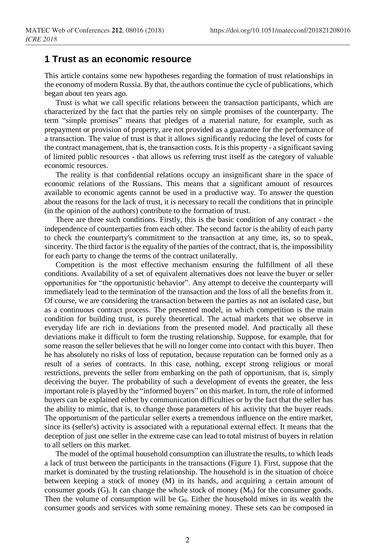## **1 Trust as an economic resource**

This article contains some new hypotheses regarding the formation of trust relationships in the economy of modern Russia. By that, the authors continue the cycle of publications, which began about ten years ago.

Trust is what we call specific relations between the transaction participants, which are characterized by the fact that the parties rely on simple promises of the counterparty. The term "simple promises" means that pledges of a material nature, for example, such as prepayment or provision of property, are not provided as a guarantee for the performance of a transaction. The value of trust is that it allows significantly reducing the level of costs for the contract management, that is, the transaction costs. It is this property - a significant saving of limited public resources - that allows us referring trust itself as the category of valuable economic resources.

The reality is that confidential relations occupy an insignificant share in the space of economic relations of the Russians. This means that a significant amount of resources available to economic agents cannot be used in a productive way. To answer the question about the reasons for the lack of trust, it is necessary to recall the conditions that in principle (in the opinion of the authors) contribute to the formation of trust.

There are three such conditions. Firstly, this is the basic condition of any contract - the independence of counterparties from each other. The second factor is the ability of each party to check the counterparty's commitment to the transaction at any time, its, so to speak, sincerity. The third factor is the equality of the parties of the contract, that is, the impossibility for each party to change the terms of the contract unilaterally.

Competition is the most effective mechanism ensuring the fulfillment of all these conditions. Availability of a set of equivalent alternatives does not leave the buyer or seller opportunities for "the opportunistic behavior". Any attempt to deceive the counterparty will immediately lead to the termination of the transaction and the loss of all the benefits from it. Of course, we are considering the transaction between the parties as not an isolated case, but as a continuous contract process. The presented model, in which competition is the main condition for building trust, is purely theoretical. The actual markets that we observe in everyday life are rich in deviations from the presented model. And practically all these deviations make it difficult to form the trusting relationship. Suppose, for example, that for some reason the seller believes that he will no longer come into contact with this buyer. Then he has absolutely no risks of loss of reputation, because reputation can be formed only as a result of a series of contracts. In this case, nothing, except strong religious or moral restrictions, prevents the seller from embarking on the path of opportunism, that is, simply deceiving the buyer. The probability of such a development of events the greater, the less important role is played by the "informed buyers" on this market. In turn, the role of informed buyers can be explained either by communication difficulties or by the fact that the seller has the ability to mimic, that is, to change those parameters of his activity that the buyer reads. The opportunism of the particular seller exerts a tremendous influence on the entire market, since its (seller's) activity is associated with a reputational external effect. It means that the deception of just one seller in the extreme case can lead to total mistrust of buyers in relation to all sellers on this market.

The model of the optimal household consumption can illustrate the results, to which leads a lack of trust between the participants in the transactions (Figure 1). First, suppose that the market is dominated by the trusting relationship. The household is in the situation of choice between keeping a stock of money (M) in its hands, and acquiring a certain amount of consumer goods  $(G)$ . It can change the whole stock of money  $(M_0)$  for the consumer goods. Then the volume of consumption will be  $G_0$ . Either the household mixes in its wealth the consumer goods and services with some remaining money. These sets can be composed in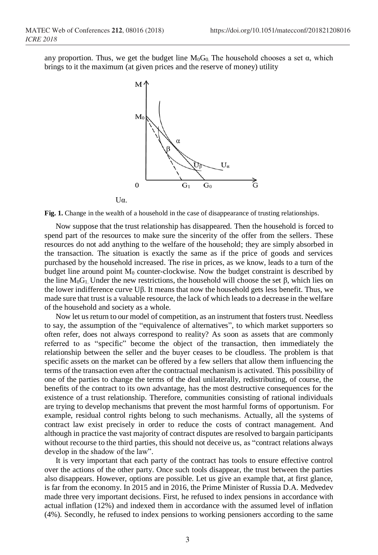any proportion. Thus, we get the budget line  $M_0G_0$ . The household chooses a set  $\alpha$ , which brings to it the maximum (at given prices and the reserve of money) utility



**Fig. 1.** Change in the wealth of a household in the case of disappearance of trusting relationships.

Now suppose that the trust relationship has disappeared. Then the household is forced to spend part of the resources to make sure the sincerity of the offer from the sellers. These resources do not add anything to the welfare of the household; they are simply absorbed in the transaction. The situation is exactly the same as if the price of goods and services purchased by the household increased. The rise in prices, as we know, leads to a turn of the budget line around point  $M_0$  counter-clockwise. Now the budget constraint is described by the line  $M_0G_1$ . Under the new restrictions, the household will choose the set  $\beta$ , which lies on the lower indifference curve Uβ. It means that now the household gets less benefit. Thus, we made sure that trust is a valuable resource, the lack of which leads to a decrease in the welfare of the household and society as a whole.

Now let us return to our model of competition, as an instrument that fosters trust. Needless to say, the assumption of the "equivalence of alternatives", to which market supporters so often refer, does not always correspond to reality? As soon as assets that are commonly referred to as "specific" become the object of the transaction, then immediately the relationship between the seller and the buyer ceases to be cloudless. The problem is that specific assets on the market can be offered by a few sellers that allow them influencing the terms of the transaction even after the contractual mechanism is activated. This possibility of one of the parties to change the terms of the deal unilaterally, redistributing, of course, the benefits of the contract to its own advantage, has the most destructive consequences for the existence of a trust relationship. Therefore, communities consisting of rational individuals are trying to develop mechanisms that prevent the most harmful forms of opportunism. For example, residual control rights belong to such mechanisms. Actually, all the systems of contract law exist precisely in order to reduce the costs of contract management. And although in practice the vast majority of contract disputes are resolved to bargain participants without recourse to the third parties, this should not deceive us, as "contract relations always develop in the shadow of the law".

It is very important that each party of the contract has tools to ensure effective control over the actions of the other party. Once such tools disappear, the trust between the parties also disappears. However, options are possible. Let us give an example that, at first glance, is far from the economy. In 2015 and in 2016, the Prime Minister of Russia D.A. Medvedev made three very important decisions. First, he refused to index pensions in accordance with actual inflation (12%) and indexed them in accordance with the assumed level of inflation (4%). Secondly, he refused to index pensions to working pensioners according to the same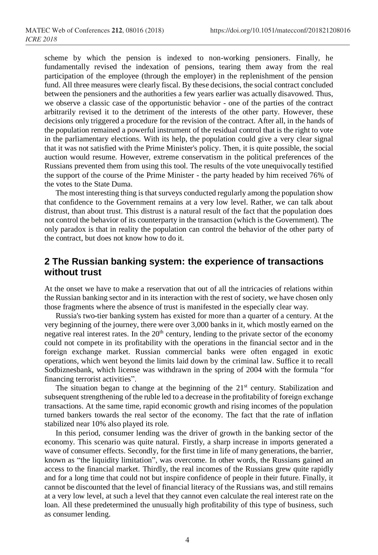scheme by which the pension is indexed to non-working pensioners. Finally, he fundamentally revised the indexation of pensions, tearing them away from the real participation of the employee (through the employer) in the replenishment of the pension fund. All three measures were clearly fiscal. By these decisions, the social contract concluded between the pensioners and the authorities a few years earlier was actually disavowed. Thus, we observe a classic case of the opportunistic behavior - one of the parties of the contract arbitrarily revised it to the detriment of the interests of the other party. However, these decisions only triggered a procedure for the revision of the contract. After all, in the hands of the population remained a powerful instrument of the residual control that is the right to vote in the parliamentary elections. With its help, the population could give a very clear signal that it was not satisfied with the Prime Minister's policy. Then, it is quite possible, the social auction would resume. However, extreme conservatism in the political preferences of the Russians prevented them from using this tool. The results of the vote unequivocally testified the support of the course of the Prime Minister - the party headed by him received 76% of the votes to the State Duma.

The most interesting thing is that surveys conducted regularly among the population show that confidence to the Government remains at a very low level. Rather, we can talk about distrust, than about trust. This distrust is a natural result of the fact that the population does not control the behavior of its counterparty in the transaction (which is the Government). The only paradox is that in reality the population can control the behavior of the other party of the contract, but does not know how to do it.

## **2 The Russian banking system: the experience of transactions without trust**

At the onset we have to make a reservation that out of all the intricacies of relations within the Russian banking sector and in its interaction with the rest of society, we have chosen only those fragments where the absence of trust is manifested in the especially clear way.

Russia's two-tier banking system has existed for more than a quarter of a century. At the very beginning of the journey, there were over 3,000 banks in it, which mostly earned on the negative real interest rates. In the  $20<sup>th</sup>$  century, lending to the private sector of the economy could not compete in its profitability with the operations in the financial sector and in the foreign exchange market. Russian commercial banks were often engaged in exotic operations, which went beyond the limits laid down by the criminal law. Suffice it to recall Sodbiznesbank, which license was withdrawn in the spring of 2004 with the formula "for financing terrorist activities".

The situation began to change at the beginning of the  $21<sup>st</sup>$  century. Stabilization and subsequent strengthening of the ruble led to a decrease in the profitability of foreign exchange transactions. At the same time, rapid economic growth and rising incomes of the population turned bankers towards the real sector of the economy. The fact that the rate of inflation stabilized near 10% also played its role.

In this period, consumer lending was the driver of growth in the banking sector of the economy. This scenario was quite natural. Firstly, a sharp increase in imports generated a wave of consumer effects. Secondly, for the first time in life of many generations, the barrier, known as "the liquidity limitation", was overcome. In other words, the Russians gained an access to the financial market. Thirdly, the real incomes of the Russians grew quite rapidly and for a long time that could not but inspire confidence of people in their future. Finally, it cannot be discounted that the level of financial literacy of the Russians was, and still remains at a very low level, at such a level that they cannot even calculate the real interest rate on the loan. All these predetermined the unusually high profitability of this type of business, such as consumer lending.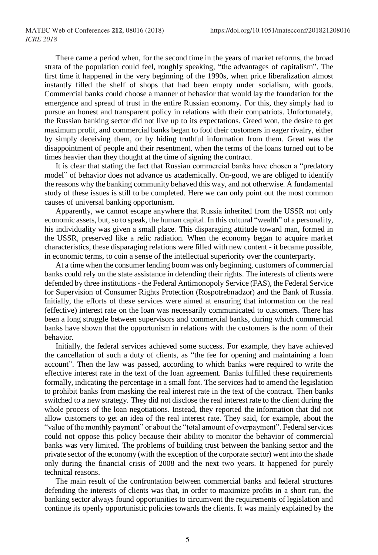There came a period when, for the second time in the years of market reforms, the broad strata of the population could feel, roughly speaking, "the advantages of capitalism". The first time it happened in the very beginning of the 1990s, when price liberalization almost instantly filled the shelf of shops that had been empty under socialism, with goods. Commercial banks could choose a manner of behavior that would lay the foundation for the emergence and spread of trust in the entire Russian economy. For this, they simply had to pursue an honest and transparent policy in relations with their compatriots. Unfortunately, the Russian banking sector did not live up to its expectations. Greed won, the desire to get maximum profit, and commercial banks began to fool their customers in eager rivalry, either by simply deceiving them, or by hiding truthful information from them. Great was the disappointment of people and their resentment, when the terms of the loans turned out to be times heavier than they thought at the time of signing the contract.

It is clear that stating the fact that Russian commercial banks have chosen a "predatory model" of behavior does not advance us academically. On-good, we are obliged to identify the reasons why the banking community behaved this way, and not otherwise. A fundamental study of these issues is still to be completed. Here we can only point out the most common causes of universal banking opportunism.

Apparently, we cannot escape anywhere that Russia inherited from the USSR not only economic assets, but, so to speak, the human capital. In this cultural "wealth" of a personality, his individuality was given a small place. This disparaging attitude toward man, formed in the USSR, preserved like a relic radiation. When the economy began to acquire market characteristics, these disparaging relations were filled with new content - it became possible, in economic terms, to coin a sense of the intellectual superiority over the counterparty.

At a time when the consumer lending boom was only beginning, customers of commercial banks could rely on the state assistance in defending their rights. The interests of clients were defended by three institutions - the Federal Antimonopoly Service (FAS), the Federal Service for Supervision of Consumer Rights Protection (Rospotrebnadzor) and the Bank of Russia. Initially, the efforts of these services were aimed at ensuring that information on the real (effective) interest rate on the loan was necessarily communicated to customers. There has been a long struggle between supervisors and commercial banks, during which commercial banks have shown that the opportunism in relations with the customers is the norm of their behavior.

Initially, the federal services achieved some success. For example, they have achieved the cancellation of such a duty of clients, as "the fee for opening and maintaining a loan account". Then the law was passed, according to which banks were required to write the effective interest rate in the text of the loan agreement. Banks fulfilled these requirements formally, indicating the percentage in a small font. The services had to amend the legislation to prohibit banks from masking the real interest rate in the text of the contract. Then banks switched to a new strategy. They did not disclose the real interest rate to the client during the whole process of the loan negotiations. Instead, they reported the information that did not allow customers to get an idea of the real interest rate. They said, for example, about the "value of the monthly payment" or about the "total amount of overpayment". Federal services could not oppose this policy because their ability to monitor the behavior of commercial banks was very limited. The problems of building trust between the banking sector and the private sector of the economy (with the exception of the corporate sector) went into the shade only during the financial crisis of 2008 and the next two years. It happened for purely technical reasons.

The main result of the confrontation between commercial banks and federal structures defending the interests of clients was that, in order to maximize profits in a short run, the banking sector always found opportunities to circumvent the requirements of legislation and continue its openly opportunistic policies towards the clients. It was mainly explained by the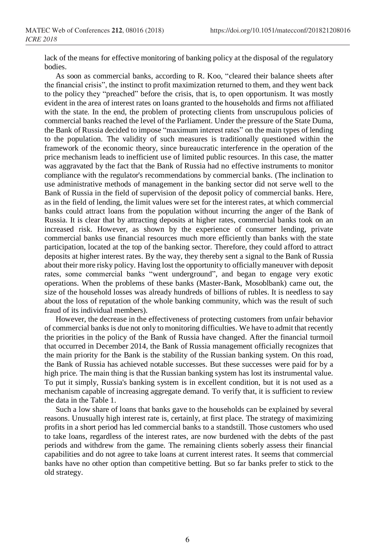lack of the means for effective monitoring of banking policy at the disposal of the regulatory bodies.

As soon as commercial banks, according to R. Koo, "cleared their balance sheets after the financial crisis", the instinct to profit maximization returned to them, and they went back to the policy they "preached" before the crisis, that is, to open opportunism. It was mostly evident in the area of interest rates on loans granted to the households and firms not affiliated with the state. In the end, the problem of protecting clients from unscrupulous policies of commercial banks reached the level of the Parliament. Under the pressure of the State Duma, the Bank of Russia decided to impose "maximum interest rates" on the main types of lending to the population. The validity of such measures is traditionally questioned within the framework of the economic theory, since bureaucratic interference in the operation of the price mechanism leads to inefficient use of limited public resources. In this case, the matter was aggravated by the fact that the Bank of Russia had no effective instruments to monitor compliance with the regulator's recommendations by commercial banks. (The inclination to use administrative methods of management in the banking sector did not serve well to the Bank of Russia in the field of supervision of the deposit policy of commercial banks. Here, as in the field of lending, the limit values were set for the interest rates, at which commercial banks could attract loans from the population without incurring the anger of the Bank of Russia. It is clear that by attracting deposits at higher rates, commercial banks took on an increased risk. However, as shown by the experience of consumer lending, private commercial banks use financial resources much more efficiently than banks with the state participation, located at the top of the banking sector. Therefore, they could afford to attract deposits at higher interest rates. By the way, they thereby sent a signal to the Bank of Russia about their more risky policy. Having lost the opportunity to officially maneuver with deposit rates, some commercial banks "went underground", and began to engage very exotic operations. When the problems of these banks (Master-Bank, Mosoblbank) came out, the size of the household losses was already hundreds of billions of rubles. It is needless to say about the loss of reputation of the whole banking community, which was the result of such fraud of its individual members).

However, the decrease in the effectiveness of protecting customers from unfair behavior of commercial banks is due not only to monitoring difficulties. We have to admit that recently the priorities in the policy of the Bank of Russia have changed. After the financial turmoil that occurred in December 2014, the Bank of Russia management officially recognizes that the main priority for the Bank is the stability of the Russian banking system. On this road, the Bank of Russia has achieved notable successes. But these successes were paid for by a high price. The main thing is that the Russian banking system has lost its instrumental value. To put it simply, Russia's banking system is in excellent condition, but it is not used as a mechanism capable of increasing aggregate demand. To verify that, it is sufficient to review the data in the Table 1.

Such a low share of loans that banks gave to the households can be explained by several reasons. Unusually high interest rate is, certainly, at first place. The strategy of maximizing profits in a short period has led commercial banks to a standstill. Those customers who used to take loans, regardless of the interest rates, are now burdened with the debts of the past periods and withdrew from the game. The remaining clients soberly assess their financial capabilities and do not agree to take loans at current interest rates. It seems that commercial banks have no other option than competitive betting. But so far banks prefer to stick to the old strategy.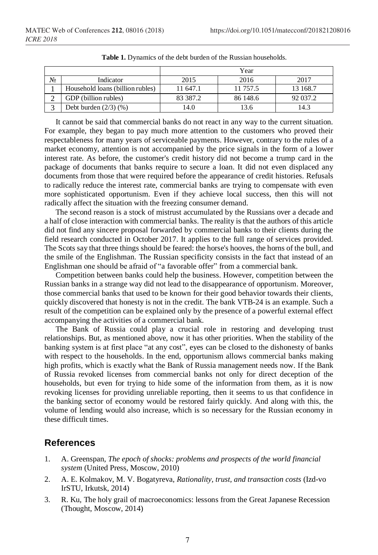|    |                                  | Year     |          |          |
|----|----------------------------------|----------|----------|----------|
| N∘ | Indicator                        | 2015     | 2016     | 2017     |
|    | Household loans (billion rubles) | 11 647.1 | 11 757.5 | 13 168.7 |
|    | GDP (billion rubles)             | 83 387.2 | 86 148.6 | 92 037.2 |
|    | Debt burden $(2/3)$ $(\%)$       | 14.0     | 13.6     | 14.3     |

**Table 1.** Dynamics of the debt burden of the Russian households.

It cannot be said that commercial banks do not react in any way to the current situation. For example, they began to pay much more attention to the customers who proved their respectableness for many years of serviceable payments. However, contrary to the rules of a market economy, attention is not accompanied by the price signals in the form of a lower interest rate. As before, the customer's credit history did not become a trump card in the package of documents that banks require to secure a loan. It did not even displaced any documents from those that were required before the appearance of credit histories. Refusals to radically reduce the interest rate, commercial banks are trying to compensate with even more sophisticated opportunism. Even if they achieve local success, then this will not radically affect the situation with the freezing consumer demand.

The second reason is a stock of mistrust accumulated by the Russians over a decade and a half of close interaction with commercial banks. The reality is that the authors of this article did not find any sincere proposal forwarded by commercial banks to their clients during the field research conducted in October 2017. It applies to the full range of services provided. The Scots say that three things should be feared: the horse's hooves, the horns of the bull, and the smile of the Englishman. The Russian specificity consists in the fact that instead of an Englishman one should be afraid of "a favorable offer" from a commercial bank.

Competition between banks could help the business. However, competition between the Russian banks in a strange way did not lead to the disappearance of opportunism. Moreover, those commercial banks that used to be known for their good behavior towards their clients, quickly discovered that honesty is not in the credit. The bank VTB-24 is an example. Such a result of the competition can be explained only by the presence of a powerful external effect accompanying the activities of a commercial bank.

The Bank of Russia could play a crucial role in restoring and developing trust relationships. But, as mentioned above, now it has other priorities. When the stability of the banking system is at first place "at any cost", eyes can be closed to the dishonesty of banks with respect to the households. In the end, opportunism allows commercial banks making high profits, which is exactly what the Bank of Russia management needs now. If the Bank of Russia revoked licenses from commercial banks not only for direct deception of the households, but even for trying to hide some of the information from them, as it is now revoking licenses for providing unreliable reporting, then it seems to us that confidence in the banking sector of economy would be restored fairly quickly. And along with this, the volume of lending would also increase, which is so necessary for the Russian economy in these difficult times.

## **References**

- 1. A. Greenspan, *The epoch of shocks: problems and prospects of the world financial system* (United Press, Moscow, 2010)
- 2. A. E. Kolmakov, M. V. Bogatyreva, *Rationality, trust, and transaction costs* (Izd-vo IrSTU, Irkutsk, 2014)
- 3. R. Ku, The holy grail of macroeconomics: lessons from the Great Japanese Recession (Thought, Moscow, 2014)